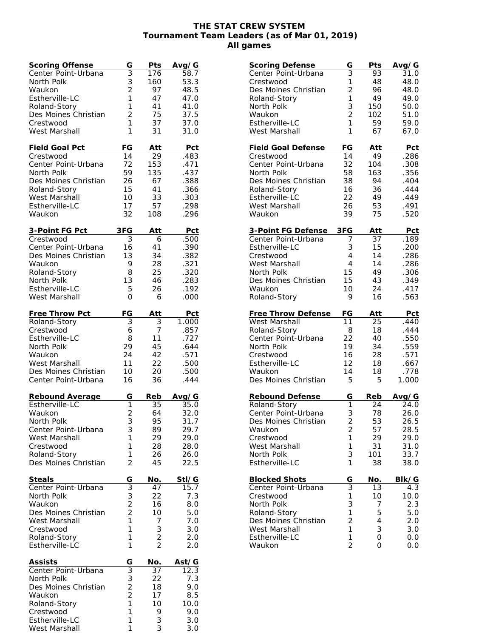## **THE STAT CREW SYSTEM Tournament Team Leaders (as of Mar 01, 2019) All games**

| <b>Scoring Offense</b>            | G                                | Pts            | Avg/G         |
|-----------------------------------|----------------------------------|----------------|---------------|
| Center Point-Urbana               | $\overline{3}$                   | 176            | 58.7          |
| North Polk                        | 3                                | 160            | 53.3          |
| Waukon                            | $\overline{2}$                   | 97             | 48.5          |
| Estherville-LC                    | 1                                | 47             | 47.0          |
| Roland-Story                      | 1                                | 41             | 41.0          |
| Des Moines Christian              | $\overline{2}$                   | 75             | 37.5          |
| Crestwood                         | 1                                | 37             | 37.0          |
| West Marshall                     | 1                                | 31             | 31.0          |
| Field Goal Pct                    | FG                               | Att            | Pct           |
| Crestwood                         | 14                               | 29             | .483          |
| Center Point-Urbana               | 72                               | 153            | .471          |
| North Polk                        | 59                               | 135            | .437          |
| Des Moines Christian              | 26                               | 67             | .388          |
| Roland-Story                      | 15                               | 41             | .366          |
| West Marshall                     | 10                               | 33             | .303          |
| Estherville-LC                    | 17                               | 57             | .298          |
| Waukon                            | 32                               | 108            | .296          |
|                                   |                                  |                |               |
| 3-Point FG Pct                    | 3FG                              | Att            | Pct           |
| Crestwood                         | $\overline{3}$                   | 6              | .500          |
| Center Point-Urbana               | 16                               | 41             | .390          |
| Des Moines Christian              | 13                               | 34             | .382          |
| Waukon                            | 9                                | 28             | .321          |
| Roland-Story                      | 8                                | 25             | .320          |
| North Polk<br>Estherville-LC      | 13<br>5                          | 46<br>26       | .283<br>.192  |
| West Marshall                     | 0                                | 6              | .000          |
|                                   |                                  |                |               |
| Free Throw Pct                    | FG                               | Att            | <b>Pct</b>    |
| Roland-Story                      | 3                                | 3              | 1.000         |
| Crestwood                         | 6                                | 7              | .857          |
| Estherville-LC                    | 8                                | 11             | .727          |
| North Polk                        | 29                               | 45             | .644          |
| Waukon                            | 24                               | 42             | .571          |
| West Marshall                     | 11                               | 22             | .500          |
| Des Moines Christian              | 10                               | 20             | .500          |
| Center Point-Urbana               | 16                               | 36             | .444          |
|                                   |                                  |                |               |
| Rebound Average<br>Estherville-LC | G<br>1                           | Reb<br>35      | Avg/G<br>35.0 |
| Waukon                            | $\overline{2}$                   | 64             | 32.0          |
| North Polk                        | 3                                | 95             | 31.7          |
| Center Point-Urbana               | 3                                | 89             | 29.7          |
| West Marshall                     | 1                                | 29             | 29.0          |
| Crestwood                         | 1                                | 28             | 28.0          |
| Roland-Story                      | 1                                | 26             | 26.0          |
| Des Moines Christian              | $\overline{2}$                   | 45             | 22.5          |
|                                   |                                  |                |               |
| Steals                            | G                                | No.            | Stl/G         |
| Center Point-Urbana               | $\overline{3}$                   | 47             | 15.7          |
| North Polk                        | 3                                | 22             | 7.3           |
| Waukon                            | $\overline{a}$<br>$\overline{2}$ | 16<br>10       | 8.0           |
| Des Moines Christian              | $\mathbf{1}$                     |                | 5.0           |
| West Marshall<br>Crestwood        | 1                                | 7<br>3         | 7.0<br>3.0    |
| Roland-Story                      | 1                                | $\overline{c}$ | 2.0           |
| Estherville-LC                    | 1                                | $\overline{2}$ | 2.0           |
|                                   |                                  |                |               |
| <b>Assists</b>                    | G                                | No.            | Ast/G         |
| Center Point-Urbana               | $\overline{3}$                   | 37             | 12.3          |
| North Polk                        | $\frac{3}{2}$                    | 22             | 7.3           |
| Des Moines Christian              |                                  | 18             | 9.0           |
| Waukon                            | $\overline{c}$                   | 17             | 8.5           |
| Roland-Story                      | $\mathbf{1}$                     | 10             | 10.0          |
| Crestwood                         | 1                                | 9              | 9.0           |
| Estherville-LC<br>West Marshall   | 1<br>1                           | 3<br>3         | 3.0<br>3.0    |
|                                   |                                  |                |               |

| <b>Scoring Defense</b>       | G                       | Pts              | Avg/G             |
|------------------------------|-------------------------|------------------|-------------------|
| Center Point-Urbana          | 3                       | 93               | 31.0              |
| Crestwood                    | 1                       | 48               | 48.0              |
| Des Moines Christian         | $\overline{2}$          | 96               | 48.0              |
| Roland-Story                 | 1                       | 49               | 49.0              |
| North Polk                   | 3                       | 150              | 50.0              |
| Waukon                       | $\overline{2}$          | 102              | 51.0              |
| Estherville-LC               | 1                       | 59               | 59.0              |
| West Marshall                | 1                       | 67               | 67.0              |
|                              |                         |                  |                   |
| <b>Field Goal Defense</b>    | FG                      | Att              | Pct               |
| Crestwood                    | 14                      | 49               | .286              |
| Center Point-Urbana          | 32                      | 104              | .308              |
| North Polk                   | 58                      | 163              | .356              |
| Des Moines Christian         | 38                      | 94               | .404              |
| Roland-Story                 | 16                      | 36               | .444              |
| Estherville-LC               | 22                      | 49               | .449              |
| West Marshall                | 26                      | 53               | .491              |
| Waukon                       | 39                      | 75               | .520              |
| 3-Point FG Defense           | 3FG                     | Att              | Pct               |
| Center Point-Urbana          | 7                       | 37               | .189              |
| Estherville-LC               | 3                       | 15               | .200              |
| Crestwood                    | 4                       | 14               | .286              |
| West Marshall                | 4                       | 14               | .286              |
| North Polk                   | 15                      | 49               | .306              |
| Des Moines Christian         | 15                      | 43               | .349              |
| Waukon                       | 10                      | 24               | .417              |
| Roland-Story                 | 9                       | 16               | .563              |
|                              |                         |                  |                   |
|                              |                         |                  |                   |
| <b>Free Throw Defense</b>    | FG                      | Att              | Pct               |
| West Marshall                | 11                      | $\overline{25}$  | .440              |
| Roland-Story                 | 8                       | 18               | .444              |
| Center Point-Urbana          | 22                      | 40               | .550              |
| North Polk                   | 19                      | 34               | .559              |
| Crestwood                    | 16                      | 28               | .571              |
| Estherville-LC               | 12                      | 18               | .667              |
| Waukon                       | 14                      | 18               | .778              |
| Des Moines Christian         | 5                       | 5                | 1.000             |
|                              |                         |                  |                   |
| Rebound Defense              | G<br>1                  | Reb              | Avg/G             |
| Roland-Story                 |                         | $\overline{2}$ 4 | $\overline{2}4.0$ |
| Center Point-Urbana          | 3                       | 78               | 26.0              |
| Des Moines Christian         | $\overline{\mathbf{c}}$ | 53               | 26.5              |
| Waukon                       | $\overline{c}$          | 57               | 28.5              |
| Crestwood                    | 1                       | 29               | 29.0              |
| West Marshall                | 1                       | 31               | 31.0              |
| North Polk<br>Estherville-LC | 3<br>1                  | 101<br>38        | 33.7              |
|                              |                         |                  | 38.0              |
| <b>Blocked Shots</b>         | G                       | No.              | Blk/G             |
| Center Point-Urbana          | $\overline{3}$          | 13               | $4.\overline{3}$  |
| Crestwood                    | 1                       | 10               | 10.0              |
| North Polk                   | 3                       | 7                | 2.3               |
| Roland-Story                 | 1                       | 5                | 5.0               |
| Des Moines Christian         | $\overline{c}$          | 4                | 2.0               |
| West Marshall                | 1                       | 3                | 3.0               |
| Estherville-LC<br>Waukon     | 1<br>$\overline{2}$     | 0<br>0           | 0.0<br>0.0        |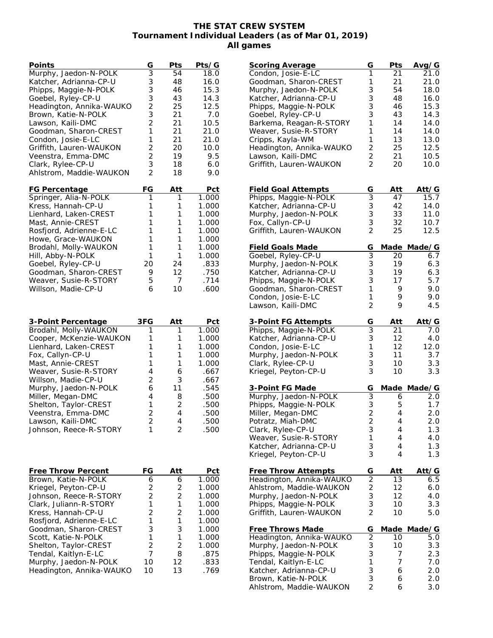## **THE STAT CREW SYSTEM Tournament Individual Leaders (as of Mar 01, 2019) All games**

| Points                                            | G              | Pts     | Pts/G          |
|---------------------------------------------------|----------------|---------|----------------|
| Murphy, Jaedon-N-POLK                             | 3              | 54      | 18.0           |
| Katcher, Adrianna-CP-U                            | 3              | 48      | 16.0           |
| Phipps, Maggie-N-POLK                             | 3              | 46      | 15.3           |
| Goebel, Ryley-CP-U                                | 3              | 43      | 14.3           |
| Headington, Annika-WAUKO                          | $\overline{c}$ | 25      | 12.5           |
| Brown, Katie-N-POLK                               | 3              | 21      | 7.0            |
| Lawson, Kaili-DMC                                 | $\overline{2}$ | 21      | 10.5           |
| Goodman, Sharon-CREST                             | 1              | 21      | 21.0           |
| Condon, Josie-E-LC                                | 1              | 21      | 21.0           |
| Griffith, Lauren-WAUKON                           | $\overline{c}$ | 20      | 10.0           |
| Veenstra, Emma-DMC                                | $\overline{2}$ | 19      | 9.5            |
| Clark, Rylee-CP-U                                 | 3              | 18      | 6.0            |
| Ahlstrom, Maddie-WAUKON                           | $\overline{2}$ | 18      | 9.0            |
| FG Percentage                                     | FG             | Att     | <u>Pct</u>     |
| Springer, Alia-N-POLK                             | 1              | 1       | 1.000          |
| Kress, Hannah-CP-U                                | 1              | 1       | 1.000          |
| Lienhard, Laken-CREST                             | 1<br>1         | 1<br>1  | 1.000          |
| Mast, Annie-CREST                                 | 1              |         | 1.000          |
| Rosfjord, Adrienne-E-LC<br>Howe, Grace-WAUKON     | 1              | 1<br>1  | 1.000          |
| Brodahl, Molly-WAUKON                             | 1              | 1       | 1.000<br>1.000 |
| Hill, Abby-N-POLK                                 | 1              | 1       | 1.000          |
| Goebel, Ryley-CP-U                                | 20             | 24      | .833           |
| Goodman, Sharon-CREST                             | 9              | 12      | .750           |
| Weaver, Susie-R-STORY                             | 5              | 7       | .714           |
| Willson, Madie-CP-U                               | 6              | 10      | .600           |
| 3-Point Percentage                                | 3FG            | Att     | Pct            |
| Brodahl, Molly-WAUKON                             | 1              | 1       | 1.000          |
| Cooper, McKenzie-WAUKON                           | 1              | 1       | 1.000          |
| Lienhard, Laken-CREST                             | 1<br>1         | 1<br>1  | 1.000          |
| Fox, Callyn-CP-U<br>Mast, Annie-CREST             | 1              | 1       | 1.000<br>1.000 |
| Weaver, Susie-R-STORY                             | $\overline{4}$ | 6       | .667           |
| Willson, Madie-CP-U                               | 2              | 3       | .667           |
| Murphy, Jaedon-N-POLK                             | 6              | 11      | .545           |
| Miller, Megan-DMC                                 | 4              | 8       | .500           |
| Shelton, Taylor-CREST                             | 1              | 2       | .500           |
| Veenstra, Emma-DMC                                | $\overline{2}$ | 4       | .500           |
| Lawson, Kaili-DMC                                 | $\overline{2}$ | 4       | .500           |
| Johnson, Reece-R-STORY                            | 1              | 2       | .500           |
|                                                   |                |         |                |
| <b>Free Throw Percent</b>                         | FG             | Att     | Pct            |
| Brown, Katie-N-POLK                               | 6              | 6       | 1.000          |
| Kriegel, Peyton-CP-U                              | 2              | 2       | 1.000          |
| Johnson, Reece-R-STORY                            | $\overline{c}$ | 2       | 1.000          |
| Clark, Juliann-R-STORY                            | 1              | 1       | 1.000          |
| Kress, Hannah-CP-U                                | $\overline{2}$ | 2       | 1.000          |
| Rosfjord, Adrienne-E-LC                           | 1<br>3         | 1<br>3  | 1.000          |
| Goodman, Sharon-CREST<br>Scott, Katie-N-POLK      | 1              | 1       | 1.000<br>1.000 |
| Shelton, Taylor-CREST                             | $\overline{2}$ | 2       | 1.000          |
| Tendal, Kaitlyn-E-LC                              |                |         | .875           |
|                                                   | 7              |         |                |
|                                                   | 10             | 8<br>12 | .833           |
| Murphy, Jaedon-N-POLK<br>Headington, Annika-WAUKO | 10             | 13      | .769           |

| <b>Scoring Average</b>     | G              | Pts             | Avg/G       |
|----------------------------|----------------|-----------------|-------------|
| Condon, Josie-E-LC         | 1              | $\overline{2}1$ | 21.0        |
| Goodman, Sharon-CREST      | 1              | 21              | 21.0        |
| Murphy, Jaedon-N-POLK      | 3              | 54              | 18.0        |
| Katcher, Adrianna-CP-U     | 3              | 48              | 16.0        |
| Phipps, Maggie-N-POLK      | 3              | 46              | 15.3        |
| Goebel, Ryley-CP-U         | 3              | 43              | 14.3        |
| Barkema, Reagan-R-STORY    | 1              | 14              | 14.0        |
| Weaver, Susie-R-STORY      | 1              | 14              | 14.0        |
| Cripps, Kayla-WM           | 1              | 13              | 13.0        |
| Headington, Annika-WAUKO   | $\overline{2}$ | 25              | 12.5        |
| Lawson, Kaili-DMC          | $\overline{c}$ | 21              | 10.5        |
| Griffith, Lauren-WAUKON    | $\overline{2}$ | 20              | 10.0        |
| <b>Field Goal Attempts</b> | G              | Att             | Att/G       |
| Phipps, Maggie-N-POLK      | $\overline{3}$ | 47              | 15.7        |
| Katcher, Adrianna-CP-U     | 3              | 42              | 14.0        |
| Murphy, Jaedon-N-POLK      |                | 33              | 11.0        |
| Fox, Callyn-CP-U           | $\frac{3}{3}$  | 32              | 10.7        |
| Griffith, Lauren-WAUKON    | $\overline{2}$ | 25              | 12.5        |
| Field Goals Made           | G              |                 | Made Made/G |
| Goebel, Ryley-CP-U         | $\overline{3}$ | 20              | 6.7         |
| Murphy, Jaedon-N-POLK      | 3              | 19              | 6.3         |
| Katcher, Adrianna-CP-U     | 3              | 19              | 6.3         |
| Phipps, Maggie-N-POLK      | 3              | 17              | 5.7         |
| Goodman, Sharon-CREST      | 1              | 9               | 9.0         |
| Condon, Josie-E-LC         | 1              | 9               | 9.0         |
| Lawson, Kaili-DMC          | $\overline{2}$ | 9               | 4.5         |
| 3-Point FG Attempts        | G              | <u>Att</u>      | Att/G       |
| Phipps, Maggie-N-POLK      | 3              | 21              | 7.0         |
| Katcher, Adrianna-CP-U     | 3              | 12              | 4.0         |
| Condon, Josie-E-LC         | 1              | 12              | 12.0        |
| Murphy, Jaedon-N-POLK      | 3              | 11              | 3.7         |
| Clark, Rylee-CP-U          | 3              | 10              | 3.3         |
| Kriegel, Peyton-CP-U       | 3              | 10              | 3.3         |
| 3-Point FG Made            | G              |                 | Made Made/G |
| Murphy, Jaedon-N-POLK      | $\overline{3}$ | 6               | 2.0         |
| Phipps, Maggie-N-POLK      |                | 5               | 1.7         |
| Miller, Megan-DMC          | $\frac{3}{2}$  | 4               | 2.0         |
| Potratz, Miah-DMC          | $\overline{2}$ | 4               | 2.0         |
| Clark, Rylee-CP-U          | 3              | 4               | 1.3         |
| Weaver, Susie-R-STORY      | 1              | 4               | 4.0         |
| Katcher, Adrianna-CP-U     | 3              | 4               | 1.3         |
| Kriegel, Peyton-CP-U       | 3              | 4               | 1.3         |
| Free Throw Attempts        | G              | Att             | Att/G       |
| Headington, Annika-WAUKO   | $\overline{2}$ | 13              | 6.5         |
| Ahlstrom, Maddie-WAUKON    | $\frac{2}{3}$  | 12              | 6.0         |
| Murphy, Jaedon-N-POLK      |                | 12              | 4.0         |
| Phipps, Maggie-N-POLK      | $\frac{3}{2}$  | 10              | 3.3         |
| Griffith, Lauren-WAUKON    |                | 10              | 5.0         |
| Free Throws Made           | G              | Made            | Made/G      |
| Headington, Annika-WAUKO   | $\overline{2}$ | 10              | 5.0         |
| Murphy, Jaedon-N-POLK      | $\frac{3}{3}$  | 10              | 3.3         |
| Phipps, Maggie-N-POLK      |                | 7               | 2.3         |
| Tendal, Kaitlyn-E-LC       | 1              | 7               | $7.0\,$     |
| Katcher, Adrianna-CP-U     | 3              | 6               | 2.0         |
| Brown, Katie-N-POLK        | 3              | 6               | 2.0         |
| Ahlstrom, Maddie-WAUKON    | $\overline{2}$ | 6               | 3.0         |